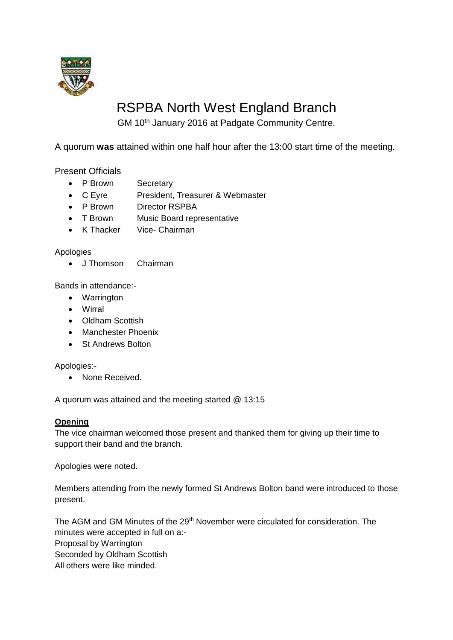

# RSPBA North West England Branch

GM 10<sup>th</sup> January 2016 at Padgate Community Centre.

A quorum **was** attained within one half hour after the 13:00 start time of the meeting.

Present Officials

- P Brown Secretary
- C Eyre President, Treasurer & Webmaster
- P Brown Director RSPBA
- T Brown Music Board representative
- K Thacker Vice- Chairman

Apologies

• J Thomson Chairman

Bands in attendance:-

- Warrington
- Wirral
- Oldham Scottish
- Manchester Phoenix
- St Andrews Bolton

Apologies:-

• None Received.

A quorum was attained and the meeting started @ 13:15

# **Opening**

The vice chairman welcomed those present and thanked them for giving up their time to support their band and the branch.

Apologies were noted.

Members attending from the newly formed St Andrews Bolton band were introduced to those present.

The AGM and GM Minutes of the 29<sup>th</sup> November were circulated for consideration. The minutes were accepted in full on a:- Proposal by Warrington Seconded by Oldham Scottish All others were like minded.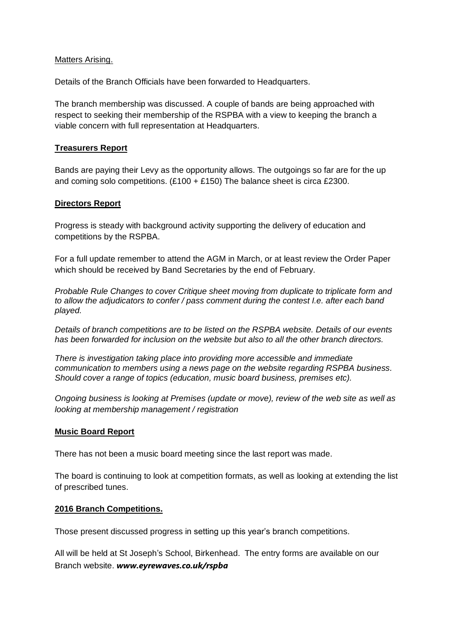#### Matters Arising.

Details of the Branch Officials have been forwarded to Headquarters.

The branch membership was discussed. A couple of bands are being approached with respect to seeking their membership of the RSPBA with a view to keeping the branch a viable concern with full representation at Headquarters.

#### **Treasurers Report**

Bands are paying their Levy as the opportunity allows. The outgoings so far are for the up and coming solo competitions.  $(E100 + E150)$  The balance sheet is circa £2300.

# **Directors Report**

Progress is steady with background activity supporting the delivery of education and competitions by the RSPBA.

For a full update remember to attend the AGM in March, or at least review the Order Paper which should be received by Band Secretaries by the end of February.

*Probable Rule Changes to cover Critique sheet moving from duplicate to triplicate form and to allow the adjudicators to confer / pass comment during the contest I.e. after each band played.* 

*Details of branch competitions are to be listed on the RSPBA website. Details of our events has been forwarded for inclusion on the website but also to all the other branch directors.*

*There is investigation taking place into providing more accessible and immediate communication to members using a news page on the website regarding RSPBA business. Should cover a range of topics (education, music board business, premises etc).*

*Ongoing business is looking at Premises (update or move), review of the web site as well as looking at membership management / registration*

# **Music Board Report**

There has not been a music board meeting since the last report was made.

The board is continuing to look at competition formats, as well as looking at extending the list of prescribed tunes.

#### **2016 Branch Competitions.**

Those present discussed progress in setting up this year's branch competitions.

All will be held at St Joseph's School, Birkenhead. The entry forms are available on our Branch website. *www.eyrewaves.co.uk/rspba*